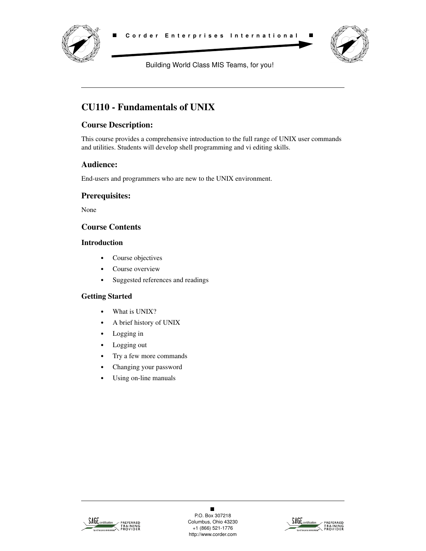



Building World Class MIS Teams, for you!

# **CU110 - Fundamentals of UNIX**

# **Course Description:**

This course provides a comprehensive introduction to the full range of UNIX user commands and utilities. Students will develop shell programming and vi editing skills.

### **Audience:**

End-users and programmers who are new to the UNIX environment.

### **Prerequisites:**

None

### **Course Contents**

#### **Introduction**

- **•** Course objectives
- **•** Course overview
- **•** Suggested references and readings

#### **Getting Started**

- **•** What is UNIX?
- **•** A brief history of UNIX
- **•** Logging in
- **•** Logging out
- **•** Try a few more commands
- **•** Changing your password
- **•** Using on-line manuals



 $\blacksquare$ P.O. Box 307218 Columbus, Ohio 43230 +1 (866) 521-1776 http://www.corder.com

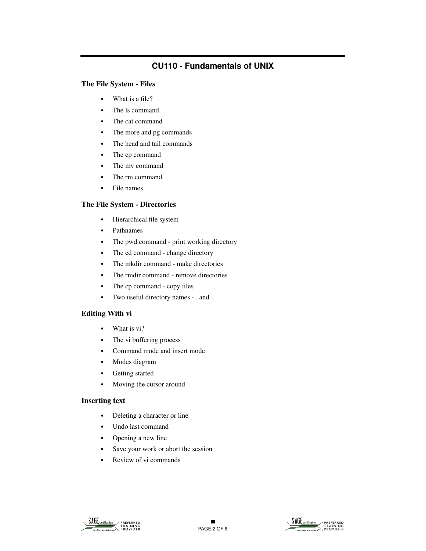#### **The File System - Files**

- **•** What is a file?
- **•** The ls command
- **•** The cat command
- **•** The more and pg commands
- **•** The head and tail commands
- **•** The cp command
- **•** The mv command
- **•** The rm command
- **•** File names

#### **The File System - Directories**

- **•** Hierarchical file system
- **•** Pathnames
- **•** The pwd command print working directory
- The cd command change directory
- **•** The mkdir command make directories
- The rmdir command remove directories
- The cp command copy files
- **•** Two useful directory names . and ..

#### **Editing With vi**

- **•** What is vi?
- **•** The vi buffering process
- **•** Command mode and insert mode
- **•** Modes diagram
- **•** Getting started
- **•** Moving the cursor around

#### **Inserting text**

- **•** Deleting a character or line
- **•** Undo last command
- **•** Opening a new line
- **•** Save your work or abort the session
- **•** Review of vi commands



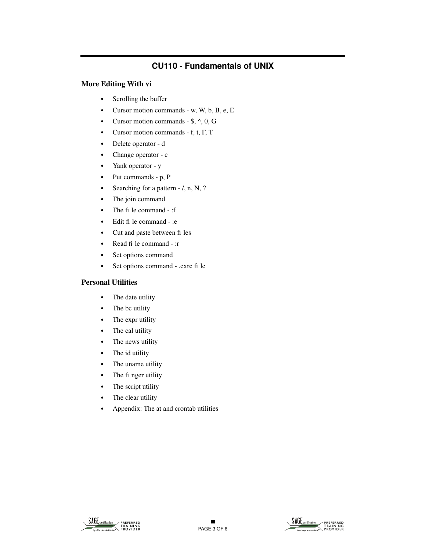#### **More Editing With vi**

- **•** Scrolling the buffer
- **•** Cursor motion commands w, W, b, B, e, E
- **•** Cursor motion commands \$, ^, 0, G
- **•** Cursor motion commands f, t, F, T
- **•** Delete operator d
- **•** Change operator c
- **•** Yank operator y
- **•** Put commands p, P
- Searching for a pattern  $/$ , n, N, ?
- **•** The join command
- The file command :f
- Edit fi le command :e
- **•** Cut and paste between files
- **•** Read file command :r
- **•** Set options command
- Set options command .exrc fi le

#### **Personal Utilities**

- **•** The date utility
- **•** The bc utility
- **•** The expr utility
- **•** The cal utility
- **•** The news utility
- **•** The id utility
- **•** The uname utility
- The fi nger utility
- **•** The script utility
- **•** The clear utility
- **•** Appendix: The at and crontab utilities



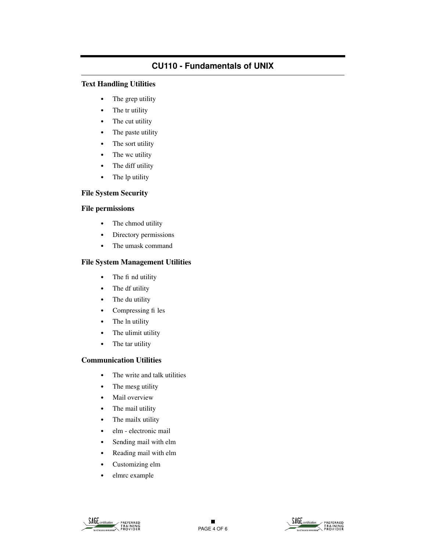#### **Text Handling Utilities**

- **•** The grep utility
- **•** The tr utility
- **•** The cut utility
- **•** The paste utility
- **•** The sort utility
- **•** The wc utility
- **•** The diff utility
- **•** The lp utility

#### **File System Security**

#### **File permissions**

- **•** The chmod utility
- **•** Directory permissions
- **•** The umask command

### **File System Management Utilities**

- The fi nd utility
- **•** The df utility
- **•** The du utility
- **•** Compressing files
- **•** The ln utility
- **•** The ulimit utility
- **•** The tar utility

### **Communication Utilities**

- **•** The write and talk utilities
- **•** The mesg utility
- **•** Mail overview
- **•** The mail utility
- **•** The mailx utility
- **•** elm electronic mail
- **•** Sending mail with elm
- **•** Reading mail with elm
- **•** Customizing elm
- **•** elmrc example



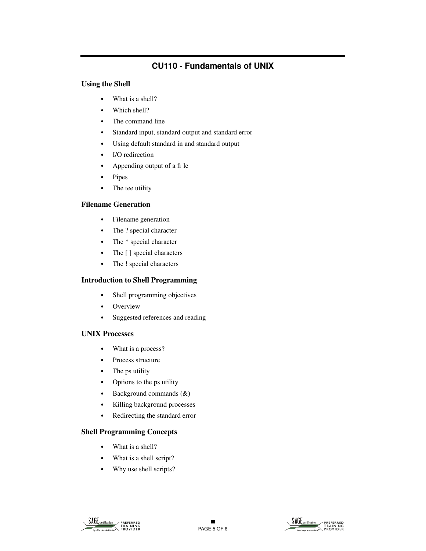#### **Using the Shell**

- **•** What is a shell?
- **•** Which shell?
- **•** The command line
- **•** Standard input, standard output and standard error
- **•** Using default standard in and standard output
- **•** I/O redirection
- **•** Appending output of a file
- **•** Pipes
- **•** The tee utility

#### **Filename Generation**

- **•** Filename generation
- **•** The ? special character
- **•** The \* special character
- **•** The [ ] special characters
- **•** The ! special characters

#### **Introduction to Shell Programming**

- **•** Shell programming objectives
- **•** Overview
- **•** Suggested references and reading

#### **UNIX Processes**

- **•** What is a process?
- **•** Process structure
- **•** The ps utility
- **•** Options to the ps utility
- **•** Background commands (&)
- **•** Killing background processes
- **•** Redirecting the standard error

#### **Shell Programming Concepts**

- **•** What is a shell?
- **•** What is a shell script?
- **•** Why use shell scripts?